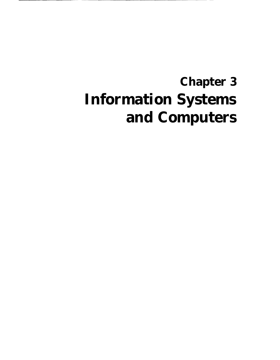# **Chapter 3 Information Systems and Computers**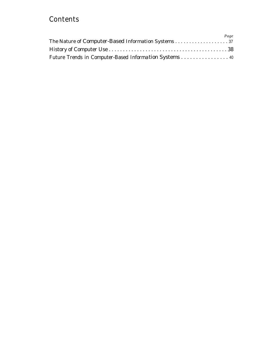#### **Contents**

|                                                        | Page |
|--------------------------------------------------------|------|
| The Nature of Computer-Based Information Systems 37    |      |
|                                                        |      |
| Future Trends in Computer-Based Information Systems 40 |      |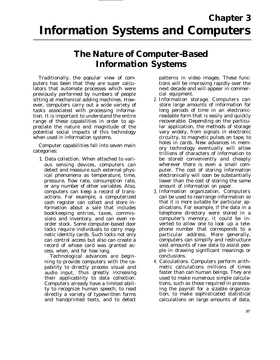### **The Nature of Computer-Based Information Systems**

Traditionally, the popular view of computers has been that they are super calculators that automate processes which were previously performed by numbers of people sitting at mechanical adding machines. However, computers carry out a wide variety of tasks associated with processing information. It is important to understand the entire range of these capabilities in order to appreciate the nature and magnitude of the potential social impacts of this technology when used in information systems.

Computer capabilities fall into seven main categories:

1. *Data collection.* When attached to various sensing devices, computers can detect and measure such external physical phenomena as temperature, time, pressure, flow rate, consumption rate, or any number of other variables. Also, computers can keep a record of transactions. For example, a computerized cash register can collect and store information about a sale that includes bookkeeping entries, taxes, commissions and inventory, and can even reorder stock. Some computer-based door locks require individuals to carry magnetic identity cards. Such locks not only can control access but also can create a record of whose card was granted access, when, and for how long.

Technological advances are beginning to provide computers with the capability to directly process visual and audio input, thus greatly increasing their applicability to data collection. Computers already have a limited ability to recognize human speech, to read directly a variety of typewritten forms and handprinted texts, and to detect

patterns in video images. These functions will be improving rapidly over the next decade and will appear in commercial equipment.

- 2. *Information storage.* Computers can store large amounts of information for long periods of time in an electronicreadable form that is easily and quickly recoverable. Depending on the particular application, the methods of storage vary widely, from signals in electronic circuitry, to magnetic pulses on tape, to holes in cards. New advances in memory technology eventually will allow trillions of characters of information to be stored conveniently and cheaply wherever there is even a small computer. The cost of storing information electronically will soon be substantially lower than the cost of storing the same amount of information on paper.
- 3. *Information organization.* Computers can be used to rearrange information so that it is more suitable for particular applications. For example, if the data in a telephone directory were stored in a computer's memory, it could be inverted to allow one to look up a telephone number that corresponds to a particular address. More generally, computers can simplify and restructure vast amounts of raw data to assist people in drawing significant meanings or conclusions.
- 4. *Calculations.* Computers perform arithmetic calculations millions of times faster than can human beings. They are used to make numerous simple calculations, such as those required in processing the payroll for a sizable organization; to make sophisticated statistical calculations on large amounts of data,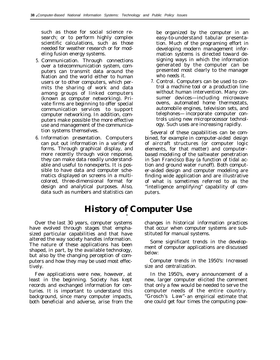such as those for social science research; or to perform highly complex scientific calculations, such as those needed for weather research or for modeling fusion energy systems.

- 5. *Communication.* Through connections over a telecommunication system, computers can transmit data around the Nation and the world either to human users or to other computers, which permits the sharing of work and data among groups of linked computers (known as computer networking). Private firms are beginning to offer special communication services to support computer networking. In addition, computers make possible the more effective use and management of the communication systems themselves.
- 6. *Information presentation.* Computers can put out information in a variety of forms. Through graphical display, and more recently through voice response, they can make data readily understandable and useful to nonexperts. It is possible to have data and computer schematics displayed on screens in a multicolored, three-dimensional format for design and analytical purposes. Also, data such as numbers and statistics can

be organized by the computer in an easy-to-understand tabular presentation. Much of the programing effort in developing modern management information systems is directed toward designing ways in which the information generated by the computer can be presented most clearly to the manager who needs it.

7. *Control.* Computers can be used to control a machine tool or a production line without human intervention. Many consumer devices—including microwave ovens, automated home thermostats, automobile engines, television sets, and telephones— incorporate computer controls using new microprocessor technology. Such uses are increasing rapidly.

Several of these capabilities can be combined, for example in *computer-aided design* of aircraft structures (or computer logic elements, for that matter) and *computerbased modeling* of the saltwater penetration in San Francisco Bay (a function of tidal action and ground water runoff). Both computer-aided design and computer modeling are finding wide application and are illustrative of what is sometimes referred to as the "intelligence amplifying" capability of computers.

## **History of Computer Use**

Over the last 30 years, computer systems have evolved through stages that emphasized particular capabilities and that have altered the way society handles information. The nature of these applications has been shaped, in part, by the available technology, but also by the changing perception of computers and how they may be used most effectively.

Few applications were new, however, at least in the beginning. Society has kept records and exchanged information for centuries. It is important to understand this background, since many computer impacts, both beneficial and adverse, arise from the

changes in historical information practices that occur when computer systems are substituted for manual systems.

Some significant trends in the development of computer applications are discussed below:

*Computer trends in the 1950's: Increased size and centralization.*

In the 1950's, every announcement of a new, larger computer elicited the comment that only a few would be needed to serve the computer needs of the entire country. "Grosch's Law"- an empirical estimate that one could get four times the computing pow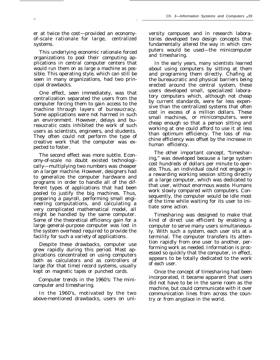er at twice the cost—provided an economyof-scale rationale for large, centralized systems.

.

—

This underlying economic rationale forced organizations to pool their computing applications in central computer centers that would run them on as large a machine as possible. This operating style, which can still be seen in many organizations, had two principal drawbacks.

One effect, seen immediately, was that centralization separated the users from the computer forcing them to gain access to the machine through layers of bureaucracy. Some applications were not harmed in such an environment. However, delays and bureaucratic costs inhibited the work of such users as scientists, engineers, and students. They often could not perform the type of creative work that the computer was expected to foster.

The second effect was more subtle. Economy-of-scale no doubt existed technologically—multiplying two numbers was cheaper on a larger machine. However, designers had to generalize the computer hardware and programs in order to handle all of the different types of applications that had been pooled to justify the big machines. Thus, preparing a payroll, performing small engineering computations, and calculating a very complicated mathematical model, all might be handled by the same computer. Some of the theoretical efficiency gain for a large general-purpose computer was lost in the system overhead required to provide the facility for such a variety of applications.

Despite these drawbacks, computer use grew rapidly during this period. Most applications concentrated on using computers both as calculators and as controllers of large (for that time) record systems, usually kept on magnetic tapes or punched cards.

*Computer trends in the 1960's: The minicomputer and timesharing.*

In the 1960's, motivated by the two above-mentioned drawbacks, users on university campuses and in research laboratories developed two design concepts that fundamentally altered the way in which computers would be used—the minicomputer and timesharing.

In the early years, many scientists learned about using computers by sitting at them and programing them directly. Chafing at the bureaucratic and physical barriers being erected around the central system, these users developed small, specialized laboratory computers which, although not cheap by current standards, were far less expensive than the centralized systems that often cost in excess of a million dollars. These small machines, or minicomputers, were cheap enough so that a person sitting and working at one could afford to use it at less than optimum efficiency. The loss of machine efficiency was offset by the increase in human efficiency.

The other important concept, "timesharing," was developed because a large system cost hundreds of dollars per minute to operate. Thus, an individual could not engage in a rewarding working session sitting directly at a large computer, which was dedicated to that user, without enormous waste. Humans work slowly compared with computers. Consequently, the computer would be idle most of the time while waiting for its user to initiate some action.

Timesharing was designed to make that kind of direct use efficient by enabling a computer to serve many users simultaneously. With such a system, each user sits at a terminal. The computer transfers its attention rapidly from one user to another, performing work as needed. Information is processed so quickly that the computer, in effect, appears to be totally dedicated to the work of each user.

Once the concept of timesharing had been incorporated, it became apparent that users did not have to be in the same room as the machine, but could communicate with it over communication lines from across the country or from anyplace in the world.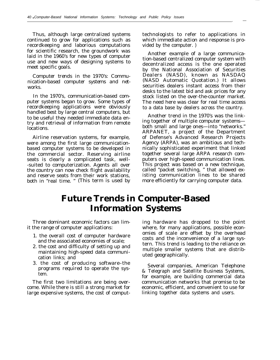Thus, although large centralized systems continued to grow for applications such as recordkeeping and laborious computations for scientific research, the groundwork was laid in the 1960's for new types of computer use and new ways of designing systems to meet specific goals.

*Computer trends in the 1970's: Communication-based computer systems and networks.*

In the 1970's, communication-based computer systems began to grow. Some types of recordkeeping applications were obviously handled best by large central computers, but to be useful they needed immediate data entry and retrieval of information from remote locations.

Airline reservation systems, for example, were among the first large communicationbased computer systems to be developed in the commercial sector. Reserving airline seats is clearly a complicated task, well- -suited to computerization. Agents all over the country can now check flight availability and reserve seats from their work stations, both in "real time. " (This term is used by

technologists to refer to applications in which immediate action and response is provided by the computer. )

. —

Another example of a large communication-based centralized computer system with decentralized access is the one operated by the National Association of Securities Dealers (NASD), known as NASDAQ (NASD Automatic Quotation.) It allows securities dealers instant access from their desks to the latest bid and ask prices for any stock listed on the over-the-counter market. The need here was clear for real time access to a data base by dealers across the country.

Another trend in the 1970's was the linking together of multiple computer systems both small and large ones—into "networks." ARPANET, a project of the Department of Defense's Advanced Research Projects Agency (ARPA), was an ambitious and technically sophisticated experiment that linked together several large ARPA research computers over high-speed communication lines. This project was based on a new technique, called "packet switching, " that allowed existing communication lines to be shared more efficiently for carrying computer data.

#### **Future Trends in Computer-Based Information Systems**

Three dominant economic factors can lim- ing hardware has dropped to the point

- 
- mantaning right speed data community uted geographically.
- 3. the cost of producing software–the Several companies, American Telephone programs required to operate the sys-

large expensive systems, the cost of comput- linking together data systems and users.

it the range of computer applications: where, for many applications, possible econ-1. the overall cost of computer hardware omies of scale are offset by the overhead and the associated economies of scale:<br> $\frac{1}{x}$  costs and the inconvenience of a large sys-2. the cost and difficulty of setting up and the reliance on  $\frac{1}{2}$ . This trend is leading to the reliance on maintaining high-speed data communi-<br>that are distributed assessmentially

programs required to operate the sys-<br>tem. for example, are building commercial data The first two limitations are being over- communication networks that promise to be come. While there is still a strong market for economic, efficient, and convenient to use for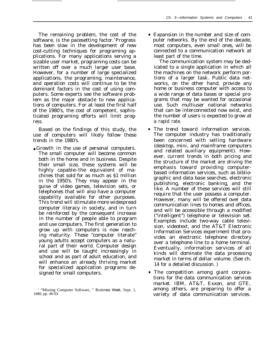The remaining problem, the cost of the software, is the pacesetting factor.<sup>1</sup>Progress has been slow in the development of new cost-cutting techniques for programing applications. For many applications serving a sizable user market, programing costs can be written off over a much larger user base. However, for a number of large specialized applications, the programing, maintenance, and operation costs will continue to be the dominant factors in the cost of using computers. Some experts see the software problem as the major obstacle to new applications of computers. For at least the first half of the 1980's, the cost of competent, sophisticated programing efforts will limit progress.

Based on the findings of this study, the use of computers will likely follow these trends in the 1980's.

● Growth *in the use of personal computers.* The small computer will become common both in the home and in business. Despite their small size, these systems will be highly capable–the equivalent of machines that sold for as much as \$1 million in the 1950's. They may appear in the guise of video games, television sets, or telephones that will also have a computer capability available for other purposes. This trend will stimulate more widespread computer literacy in society, and in turn be reinforced by the consequent increase in the number of people able to program and use computers. The first generation to grow up with computers is now reaching maturity. These "computer literate" young adults accept computers as a natural part of their world. Computer design and use will be taught increasingly in school and as part of adult education, and will enhance an already thriving market for specialized application programs designed for small computers.

● *Expansion in the number and size of computer networks.* By the end of the decade, most computers, even small *ones,* will be connected to a communication network at least part of the time.

The communication system may be dedicated to a single application in which all the machines on the network perform portions of a larger task. Public data networks, on the other hand, provide any home or business computer with access to a wide range of data bases or special programs that may be wanted for occasional use. Such multiuser national networks that can be interconnected now exist, and the number of users is expected to grow at a rapid rate.

- *The trend toward information services.* The computer industry has traditionally been concerned with selling hardware (desktop, mini, and mainframe computers and related auxiliary equipment). However, current trends in both pricing and the structure of the market are driving the emphasis toward providing computerbased information services, such as bibliographic and data base searches, electronic publishing, electronic banking, and the like. A number of these services will still require that the user possess a computer. However, many will be offered over data communication lines to homes and offices, and will be accessible through a modified ("intelligent") telephone or television set. Examples include two-way cable television, videotext, and the AT&T Electronic Information Services experiment that provides an electronic telephone directory over a telephone line to a home terminal. Eventually, information services of all kinds will dominate the data processing market in terms of dollar volume. (See ch. 14 for a detailed discussion. )
- *The competition among giant corporations for the data communication services market.* IBM, AT&T, Exxon, and GTE, among others, are preparing to offer a variety of data communication services.

<sup>&#</sup>x27; "Missing Computer Software, " *Business Week,* Sept. 1, 1980, pp. 46-53.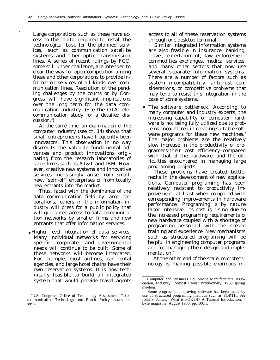Large corporations such as these have access to the capital required to install the technological base for the planned services, such as communication satellite systems and fiber optic transmission lines. A series of recent rulings by FCC, some still under challenge, are intended to clear the way for open competition among these and other corporations to provide information services of all kinds over communication lines. Resolution of the pending challenges by the courts or by Congress will have significant implications over the long term for the data communication industry. (See the OTA telecommunication study for a detailed discussion.<sup>2</sup>)

.

At the same time, an examination of the computer industry (see ch. 14) shows that small entrepreneurs have frequently been innovators. This observation in no way discredits the valuable fundamental advances and product innovations originating from the research laboratories of large firms such as AT&T and IBM. However, creative new systems and innovative services increasingly arise from small, new, "spin-off" enterprises or from totally new entrants into the market.

Thus, faced with the dominance of the data communication field by large corporations, others in the information industry will press for a public policy that will guarantee access to data communication networks by smaller firms and new entrants that offer information services.

● *Higher level integration of data services.* Many individual networks for servicing specific corporate and governmental needs will continue to be built. Some of these networks will become integrated. For example, most airlines, car rental agencies, and large hotel chains have their own reservation systems. It is now technically feasible to build an integrated system that would provide travel agents

access to all of these reservation systems through one desktop terminal.

Similar integrated information systems are also feasible in insurance, banking, travel, entertainment, law enforcement, commodities exchanges, medical services, and many other sectors that now use several separate information systems. There are a number of factors such as system incompatibility, antitrust considerations, or competitive problems that may tend to resist this integration in the case of some systems.

● *The software bottleneck.* According to many computer and industry experts, the increasing capability of computer hardware is not being fully utilized due to problems encountered in creating suitable software programs for these new machines.<sup>3</sup> The major problems are the relatively slow increase in the productivity of programers-their cost efficiency–compared with that of the hardware, and the difficulties encountered in managing large programing projects.

These problems have created bottlenecks in the development of new applications. Computer programing has been relatively resistant to productivity improvement, at least when compared with corresponding improvements in hardware performance. Programing is by nature labor intensive. Its cost is rising due to the increased programing requirements of new hardware coupled with a shortage of programing personnel with the needed training and experience. New mechanisms such as structured programing will be helpful in engineering computer programs and for managing their design and implementation.<sup>4</sup>

At the other end of the scale, microtechnology is making possible enormous in-

<sup>&#</sup>x27;U.S. Congress, Office of Technology Assessment, *Telecommunication Technology and Public Policy Issues,* in press.

<sup>3</sup>Computer and Business Equipment Manufacturers Association, *Industry Forecast Panel: Productivity, 1980* spring meeting.

<sup>&#</sup>x27;Some progress in improving software has been made by use of structured programing methods such as FORTH. See John S. James, "What is FORTH? A Tutorial Introduction, " Byte magazine, August 1980, pp. 100ff.